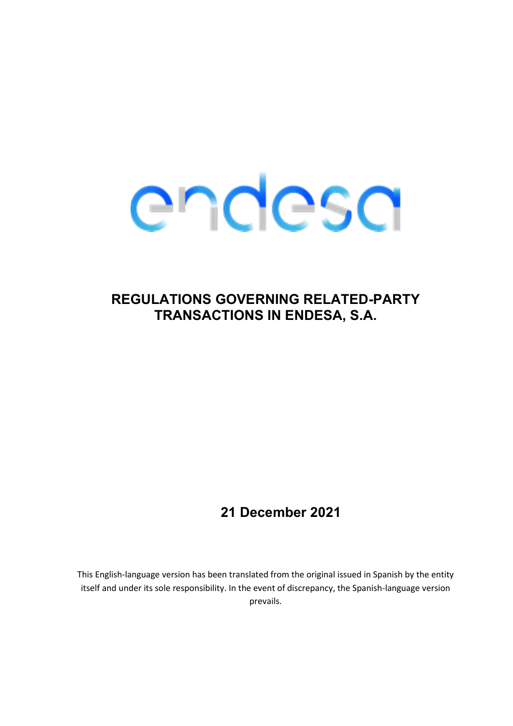# endesa

# **REGULATIONS GOVERNING RELATED-PARTY TRANSACTIONS IN ENDESA, S.A.**

# **21 December 2021**

This English-language version has been translated from the original issued in Spanish by the entity itself and under its sole responsibility. In the event of discrepancy, the Spanish-language version prevails.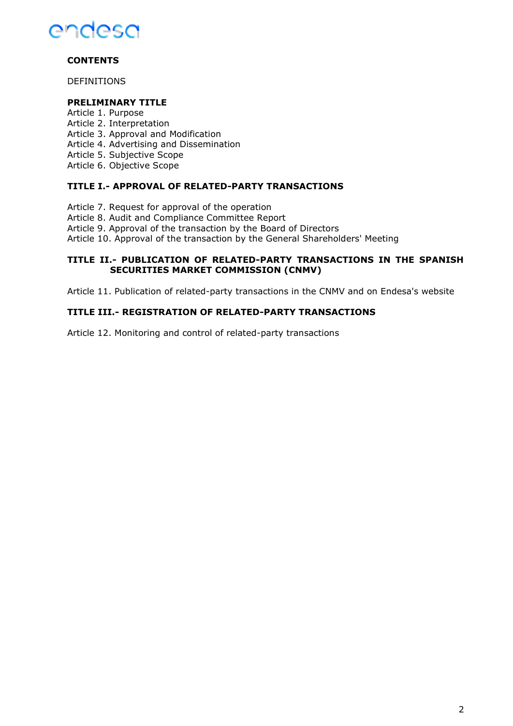

# **CONTENTS**

DEFINITIONS

#### **PRELIMINARY TITLE**

- Article 1. Purpose
- Article 2. Interpretation
- Article 3. Approval and Modification
- Article 4. Advertising and Dissemination
- Article 5. Subjective Scope
- Article 6. Objective Scope

## **TITLE I.- APPROVAL OF RELATED-PARTY TRANSACTIONS**

Article 7. Request for approval of the operation

Article 8. Audit and Compliance Committee Report

Article 9. Approval of the transaction by the Board of Directors

Article 10. Approval of the transaction by the General Shareholders' Meeting

#### **TITLE II.- PUBLICATION OF RELATED-PARTY TRANSACTIONS IN THE SPANISH SECURITIES MARKET COMMISSION (CNMV)**

Article 11. Publication of related-party transactions in the CNMV and on Endesa's website

## **TITLE III.- REGISTRATION OF RELATED-PARTY TRANSACTIONS**

Article 12. Monitoring and control of related-party transactions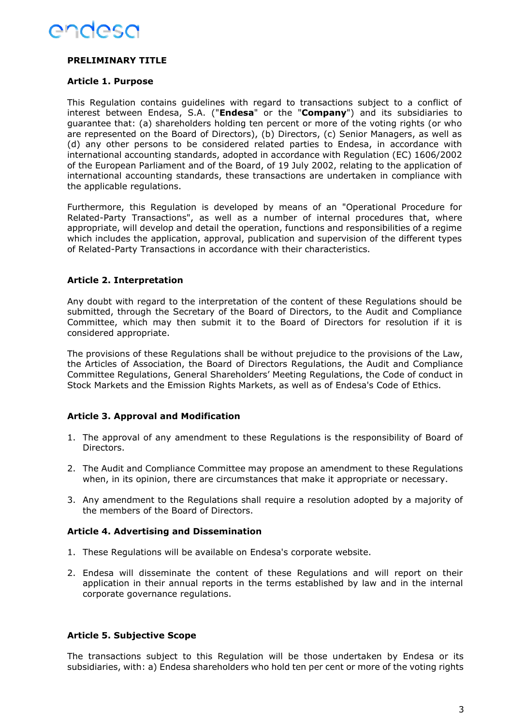

# **PRELIMINARY TITLE**

#### **Article 1. Purpose**

This Regulation contains guidelines with regard to transactions subject to a conflict of interest between Endesa, S.A. ("**Endesa**" or the "**Company**") and its subsidiaries to guarantee that: (a) shareholders holding ten percent or more of the voting rights (or who are represented on the Board of Directors), (b) Directors, (c) Senior Managers, as well as (d) any other persons to be considered related parties to Endesa, in accordance with international accounting standards, adopted in accordance with Regulation (EC) 1606/2002 of the European Parliament and of the Board, of 19 July 2002, relating to the application of international accounting standards, these transactions are undertaken in compliance with the applicable regulations.

Furthermore, this Regulation is developed by means of an "Operational Procedure for Related-Party Transactions", as well as a number of internal procedures that, where appropriate, will develop and detail the operation, functions and responsibilities of a regime which includes the application, approval, publication and supervision of the different types of Related-Party Transactions in accordance with their characteristics.

## **Article 2. Interpretation**

Any doubt with regard to the interpretation of the content of these Regulations should be submitted, through the Secretary of the Board of Directors, to the Audit and Compliance Committee, which may then submit it to the Board of Directors for resolution if it is considered appropriate.

The provisions of these Regulations shall be without prejudice to the provisions of the Law, the Articles of Association, the Board of Directors Regulations, the Audit and Compliance Committee Regulations, General Shareholders' Meeting Regulations, the Code of conduct in Stock Markets and the Emission Rights Markets, as well as of Endesa's Code of Ethics.

#### **Article 3. Approval and Modification**

- 1. The approval of any amendment to these Regulations is the responsibility of Board of Directors.
- 2. The Audit and Compliance Committee may propose an amendment to these Regulations when, in its opinion, there are circumstances that make it appropriate or necessary.
- 3. Any amendment to the Regulations shall require a resolution adopted by a majority of the members of the Board of Directors.

#### **Article 4. Advertising and Dissemination**

- 1. These Regulations will be available on Endesa's corporate website.
- 2. Endesa will disseminate the content of these Regulations and will report on their application in their annual reports in the terms established by law and in the internal corporate governance regulations.

#### **Article 5. Subjective Scope**

The transactions subject to this Regulation will be those undertaken by Endesa or its subsidiaries, with: a) Endesa shareholders who hold ten per cent or more of the voting rights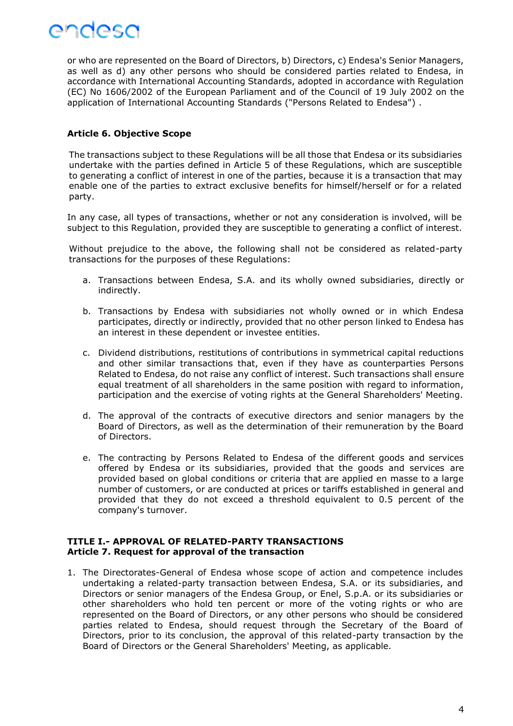

or who are represented on the Board of Directors, b) Directors, c) Endesa's Senior Managers, as well as d) any other persons who should be considered parties related to Endesa, in accordance with International Accounting Standards, adopted in accordance with Regulation (EC) No 1606/2002 of the European Parliament and of the Council of 19 July 2002 on the application of International Accounting Standards ("Persons Related to Endesa") .

#### **Article 6. Objective Scope**

The transactions subject to these Regulations will be all those that Endesa or its subsidiaries undertake with the parties defined in Article 5 of these Regulations, which are susceptible to generating a conflict of interest in one of the parties, because it is a transaction that may enable one of the parties to extract exclusive benefits for himself/herself or for a related party.

In any case, all types of transactions, whether or not any consideration is involved, will be subject to this Regulation, provided they are susceptible to generating a conflict of interest.

Without prejudice to the above, the following shall not be considered as related-party transactions for the purposes of these Regulations:

- a. Transactions between Endesa, S.A. and its wholly owned subsidiaries, directly or indirectly.
- b. Transactions by Endesa with subsidiaries not wholly owned or in which Endesa participates, directly or indirectly, provided that no other person linked to Endesa has an interest in these dependent or investee entities.
- c. Dividend distributions, restitutions of contributions in symmetrical capital reductions and other similar transactions that, even if they have as counterparties Persons Related to Endesa, do not raise any conflict of interest. Such transactions shall ensure equal treatment of all shareholders in the same position with regard to information, participation and the exercise of voting rights at the General Shareholders' Meeting.
- d. The approval of the contracts of executive directors and senior managers by the Board of Directors, as well as the determination of their remuneration by the Board of Directors.
- e. The contracting by Persons Related to Endesa of the different goods and services offered by Endesa or its subsidiaries, provided that the goods and services are provided based on global conditions or criteria that are applied en masse to a large number of customers, or are conducted at prices or tariffs established in general and provided that they do not exceed a threshold equivalent to 0.5 percent of the company's turnover.

#### **TITLE I.- APPROVAL OF RELATED-PARTY TRANSACTIONS Article 7. Request for approval of the transaction**

1. The Directorates-General of Endesa whose scope of action and competence includes undertaking a related-party transaction between Endesa, S.A. or its subsidiaries, and Directors or senior managers of the Endesa Group, or Enel, S.p.A. or its subsidiaries or other shareholders who hold ten percent or more of the voting rights or who are represented on the Board of Directors, or any other persons who should be considered parties related to Endesa, should request through the Secretary of the Board of Directors, prior to its conclusion, the approval of this related-party transaction by the Board of Directors or the General Shareholders' Meeting, as applicable.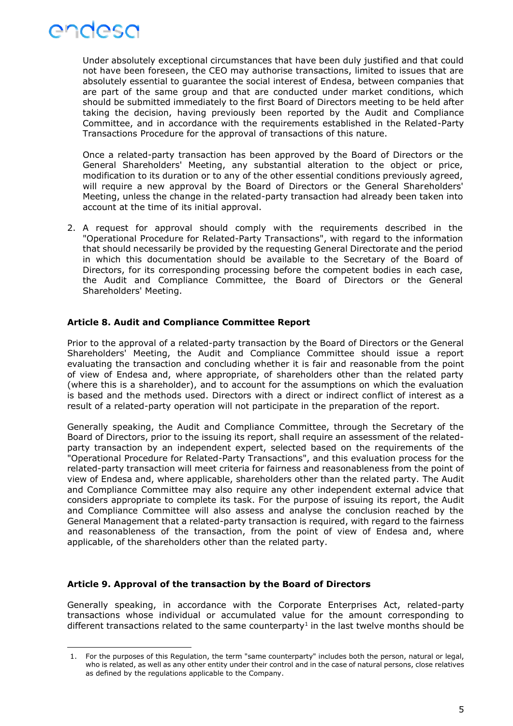

Under absolutely exceptional circumstances that have been duly justified and that could not have been foreseen, the CEO may authorise transactions, limited to issues that are absolutely essential to guarantee the social interest of Endesa, between companies that are part of the same group and that are conducted under market conditions, which should be submitted immediately to the first Board of Directors meeting to be held after taking the decision, having previously been reported by the Audit and Compliance Committee, and in accordance with the requirements established in the Related-Party Transactions Procedure for the approval of transactions of this nature.

Once a related-party transaction has been approved by the Board of Directors or the General Shareholders' Meeting, any substantial alteration to the object or price, modification to its duration or to any of the other essential conditions previously agreed, will require a new approval by the Board of Directors or the General Shareholders' Meeting, unless the change in the related-party transaction had already been taken into account at the time of its initial approval.

2. A request for approval should comply with the requirements described in the "Operational Procedure for Related-Party Transactions", with regard to the information that should necessarily be provided by the requesting General Directorate and the period in which this documentation should be available to the Secretary of the Board of Directors, for its corresponding processing before the competent bodies in each case, the Audit and Compliance Committee, the Board of Directors or the General Shareholders' Meeting.

#### **Article 8. Audit and Compliance Committee Report**

Prior to the approval of a related-party transaction by the Board of Directors or the General Shareholders' Meeting, the Audit and Compliance Committee should issue a report evaluating the transaction and concluding whether it is fair and reasonable from the point of view of Endesa and, where appropriate, of shareholders other than the related party (where this is a shareholder), and to account for the assumptions on which the evaluation is based and the methods used. Directors with a direct or indirect conflict of interest as a result of a related-party operation will not participate in the preparation of the report.

Generally speaking, the Audit and Compliance Committee, through the Secretary of the Board of Directors, prior to the issuing its report, shall require an assessment of the relatedparty transaction by an independent expert, selected based on the requirements of the "Operational Procedure for Related-Party Transactions", and this evaluation process for the related-party transaction will meet criteria for fairness and reasonableness from the point of view of Endesa and, where applicable, shareholders other than the related party. The Audit and Compliance Committee may also require any other independent external advice that considers appropriate to complete its task. For the purpose of issuing its report, the Audit and Compliance Committee will also assess and analyse the conclusion reached by the General Management that a related-party transaction is required, with regard to the fairness and reasonableness of the transaction, from the point of view of Endesa and, where applicable, of the shareholders other than the related party.

#### **Article 9. Approval of the transaction by the Board of Directors**

Generally speaking, in accordance with the Corporate Enterprises Act, related-party transactions whose individual or accumulated value for the amount corresponding to different transactions related to the same counterparty<sup>1</sup> in the last twelve months should be

<sup>1.</sup> For the purposes of this Regulation, the term "same counterparty" includes both the person, natural or legal, who is related, as well as any other entity under their control and in the case of natural persons, close relatives as defined by the regulations applicable to the Company.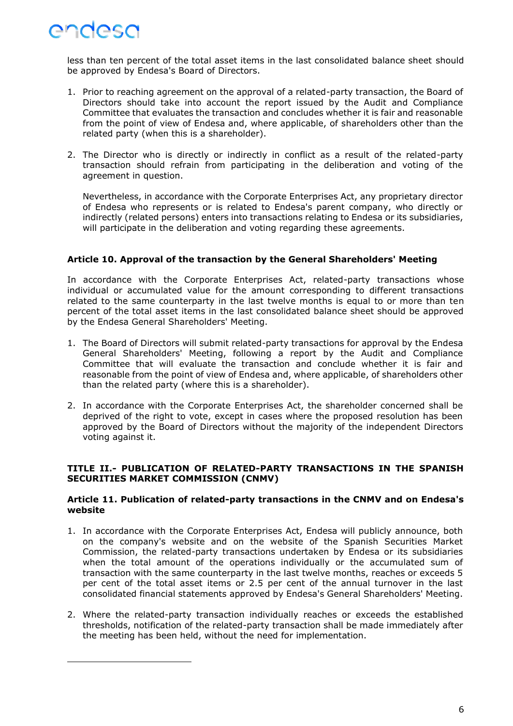

less than ten percent of the total asset items in the last consolidated balance sheet should be approved by Endesa's Board of Directors.

- 1. Prior to reaching agreement on the approval of a related-party transaction, the Board of Directors should take into account the report issued by the Audit and Compliance Committee that evaluates the transaction and concludes whether it is fair and reasonable from the point of view of Endesa and, where applicable, of shareholders other than the related party (when this is a shareholder).
- 2. The Director who is directly or indirectly in conflict as a result of the related-party transaction should refrain from participating in the deliberation and voting of the agreement in question.

Nevertheless, in accordance with the Corporate Enterprises Act, any proprietary director of Endesa who represents or is related to Endesa's parent company, who directly or indirectly (related persons) enters into transactions relating to Endesa or its subsidiaries, will participate in the deliberation and voting regarding these agreements.

#### **Article 10. Approval of the transaction by the General Shareholders' Meeting**

In accordance with the Corporate Enterprises Act, related-party transactions whose individual or accumulated value for the amount corresponding to different transactions related to the same counterparty in the last twelve months is equal to or more than ten percent of the total asset items in the last consolidated balance sheet should be approved by the Endesa General Shareholders' Meeting.

- 1. The Board of Directors will submit related-party transactions for approval by the Endesa General Shareholders' Meeting, following a report by the Audit and Compliance Committee that will evaluate the transaction and conclude whether it is fair and reasonable from the point of view of Endesa and, where applicable, of shareholders other than the related party (where this is a shareholder).
- 2. In accordance with the Corporate Enterprises Act, the shareholder concerned shall be deprived of the right to vote, except in cases where the proposed resolution has been approved by the Board of Directors without the majority of the independent Directors voting against it.

#### **TITLE II.- PUBLICATION OF RELATED-PARTY TRANSACTIONS IN THE SPANISH SECURITIES MARKET COMMISSION (CNMV)**

#### **Article 11. Publication of related-party transactions in the CNMV and on Endesa's website**

- 1. In accordance with the Corporate Enterprises Act, Endesa will publicly announce, both on the company's website and on the website of the Spanish Securities Market Commission, the related-party transactions undertaken by Endesa or its subsidiaries when the total amount of the operations individually or the accumulated sum of transaction with the same counterparty in the last twelve months, reaches or exceeds 5 per cent of the total asset items or 2.5 per cent of the annual turnover in the last consolidated financial statements approved by Endesa's General Shareholders' Meeting.
- 2. Where the related-party transaction individually reaches or exceeds the established thresholds, notification of the related-party transaction shall be made immediately after the meeting has been held, without the need for implementation.